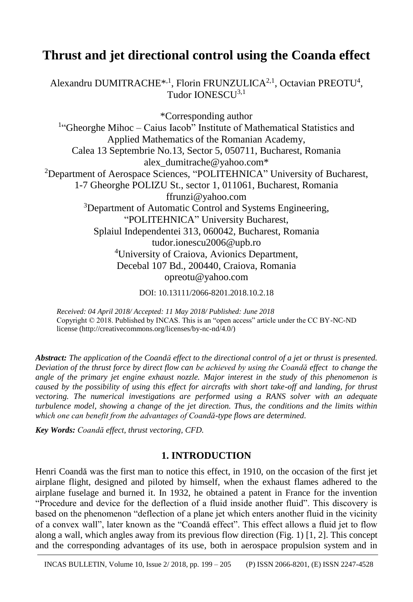# **Thrust and jet directional control using the Coanda effect**

Alexandru DUMITRACHE<sup>\*,1</sup>, Florin FRUNZULICA<sup>2,1</sup>, Octavian PREOTU<sup>4</sup>, Tudor IONESCU<sup>3,1</sup>

\*Corresponding author <sup>1</sup>"Gheorghe Mihoc - Caius Iacob" Institute of Mathematical Statistics and Applied Mathematics of the Romanian Academy, Calea 13 Septembrie No.13, Sector 5, 050711, Bucharest, Romania alex\_dumitrache@yahoo.com\* <sup>2</sup>Department of Aerospace Sciences, "POLITEHNICA" University of Bucharest, 1-7 Gheorghe POLIZU St., sector 1, 011061, Bucharest, Romania ffrunzi@yahoo.com <sup>3</sup>Department of Automatic Control and Systems Engineering, "POLITEHNICA" University Bucharest, Splaiul Independentei 313, 060042, Bucharest, Romania tudor.ionescu2006@upb.ro <sup>4</sup>University of Craiova, Avionics Department, Decebal 107 Bd., 200440, Craiova, Romania opreotu@yahoo.com

DOI: 10.13111/2066-8201.2018.10.2.18

*Received: 04 April 2018/ Accepted: 11 May 2018/ Published: June 2018* Copyright © 2018. Published by INCAS. This is an "open access" article under the CC BY-NC-ND license (http://creativecommons.org/licenses/by-nc-nd/4.0/)

*Abstract: The application of the Coandă effect to the directional control of a jet or thrust is presented. Deviation of the thrust force by direct flow can be achieved by using the Coandă effect to change the angle of the primary jet engine exhaust nozzle. Major interest in the study of this phenomenon is caused by the possibility of using this effect for aircrafts with short take-off and landing, for thrust vectoring. The numerical investigations are performed using a RANS solver with an adequate turbulence model, showing a change of the jet direction. Thus, the conditions and the limits within which one can benefit from the advantages of Coandă-type flows are determined.*

*Key Words: Coandă effect, thrust vectoring, CFD.*

# **1. INTRODUCTION**

Henri Coandă was the first man to notice this effect, in 1910, on the occasion of the first jet airplane flight, designed and piloted by himself, when the exhaust flames adhered to the airplane fuselage and burned it. In 1932, he obtained a patent in France for the invention "Procedure and device for the deflection of a fluid inside another fluid". This discovery is based on the phenomenon "deflection of a plane jet which enters another fluid in the vicinity of a convex wall", later known as the "Coandă effect". This effect allows a fluid jet to flow along a wall, which angles away from its previous flow direction (Fig. 1) [1, 2]. This concept and the corresponding advantages of its use, both in aerospace propulsion system and in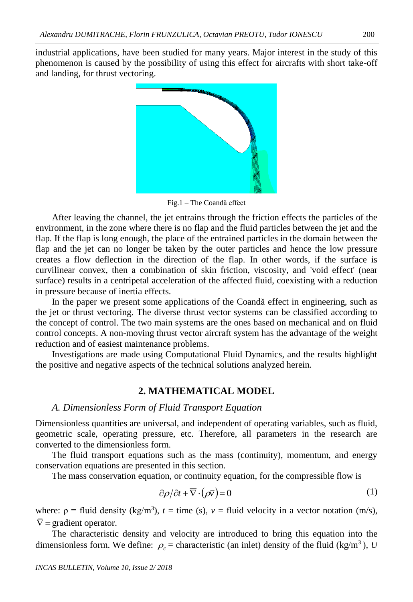industrial applications, have been studied for many years. Major interest in the study of this phenomenon is caused by the possibility of using this effect for aircrafts with short take-off and landing, for thrust vectoring.



Fig.1 – The Coandă effect

After leaving the channel, the jet entrains through the friction effects the particles of the environment, in the zone where there is no flap and the fluid particles between the jet and the flap. If the flap is long enough, the place of the entrained particles in the domain between the flap and the jet can no longer be taken by the outer particles and hence the low pressure creates a flow deflection in the direction of the flap. In other words, if the surface is curvilinear convex, then a combination of skin friction, viscosity, and 'void effect' (near surface) results in a centripetal acceleration of the affected fluid, coexisting with a reduction in pressure because of inertia effects.

In the paper we present some applications of the Coandă effect in engineering, such as the jet or thrust vectoring. The diverse thrust vector systems can be classified according to the concept of control. The two main systems are the ones based on mechanical and on fluid control concepts. A non-moving thrust vector aircraft system has the advantage of the weight reduction and of easiest maintenance problems.

Investigations are made using Computational Fluid Dynamics, and the results highlight the positive and negative aspects of the technical solutions analyzed herein.

## **2. MATHEMATICAL MODEL**

#### *A. Dimensionless Form of Fluid Transport Equation*

Dimensionless quantities are universal, and independent of operating variables, such as fluid, geometric scale, operating pressure, etc. Therefore, all parameters in the research are converted to the dimensionless form.

The fluid transport equations such as the mass (continuity), momentum, and energy conservation equations are presented in this section.

The mass conservation equation, or continuity equation, for the compressible flow is

$$
\frac{\partial \rho}{\partial t} + \overline{\nabla} \cdot (\rho \overline{\nu}) = 0 \tag{1}
$$

where:  $\rho$  = fluid density (kg/m<sup>3</sup>),  $t =$  time (s),  $v =$  fluid velocity in a vector notation (m/s),  $\nabla$  = gradient operator.

The characteristic density and velocity are introduced to bring this equation into the dimensionless form. We define:  $\rho_c$  = characteristic (an inlet) density of the fluid (kg/m<sup>3</sup>), *U*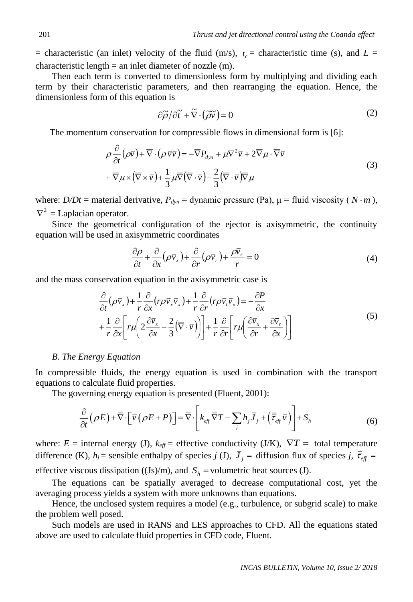$=$  characteristic (an inlet) velocity of the fluid (m/s),  $t_c$  = characteristic time (s), and  $L =$ characteristic length  $=$  an inlet diameter of nozzle (m).

Then each term is converted to dimensionless form by multiplying and dividing each term by their characteristic parameters, and then rearranging the equation. Hence, the dimensionless form of this equation is

$$
\partial \widetilde{\rho}/\partial \widetilde{t} + \widetilde{\nabla} \cdot (\widetilde{\rho} \widetilde{v}) = 0 \tag{2}
$$

The momentum conservation for compressible flows in dimensional form is [6]:

$$
\rho \frac{\partial}{\partial t} (\rho \overline{v}) + \overline{\nabla} \cdot (\rho \overline{v} \overline{v}) = -\overline{\nabla} P_{dyn} + \mu \nabla^2 \overline{v} + 2 \overline{\nabla} \mu \cdot \overline{\nabla} \overline{v} \n+ \overline{\nabla} \mu \times (\overline{\nabla} \times \overline{v}) + \frac{1}{3} \mu \overline{\nabla} (\overline{\nabla} \cdot \overline{v}) - \frac{2}{3} (\overline{\nabla} \cdot \overline{v}) \overline{\nabla} \mu
$$
\n(3)

where:  $D/Dt$  = material derivative,  $P_{dyn}$  = dynamic pressure (Pa),  $\mu$  = fluid viscosity ( $N \cdot m$ ),  $\nabla^2$  = Laplacian operator.

Since the geometrical configuration of the ejector is axisymmetric, the continuity equation will be used in axisymmetric coordinates

$$
\frac{\partial \rho}{\partial t} + \frac{\partial}{\partial x} (\rho \bar{v}_x) + \frac{\partial}{\partial r} (\rho \bar{v}_r) + \frac{\rho \bar{v}_r}{r} = 0
$$
\n(4)

and the mass conservation equation in the axisymmetric case is

$$
\frac{\partial}{\partial t} (\rho \bar{v}_x) + \frac{1}{r} \frac{\partial}{\partial x} (r \rho \bar{v}_x \bar{v}_x) + \frac{1}{r} \frac{\partial}{\partial r} (r \rho \bar{v}_t \bar{v}_x) = -\frac{\partial P}{\partial x} \n+ \frac{1}{r} \frac{\partial}{\partial x} \bigg[ r \mu \bigg( 2 \frac{\partial \bar{v}_x}{\partial x} - \frac{2}{3} (\bar{\nabla} \cdot \bar{v}) \bigg) \bigg] + \frac{1}{r} \frac{\partial}{\partial r} \bigg[ r \mu \bigg( \frac{\partial \bar{v}_x}{\partial r} + \frac{\partial \bar{v}_r}{\partial x} \bigg) \bigg]
$$
\n(5)

#### *B. The Energy Equation*

In compressible fluids, the energy equation is used in combination with the transport equations to calculate fluid properties.

The governing energy equation is presented (Fluent, 2001):

$$
\frac{\partial}{\partial t}(\rho E) + \overline{\nabla} \cdot \left[ \overline{v} \left( \rho E + P \right) \right] = \overline{\nabla} \cdot \left[ k_{\text{eff}} \overline{\nabla} T - \sum_{j} h_{j} \overline{J}_{j} + \left( \overline{\overline{\tau}}_{\text{eff}} \overline{v} \right) \right] + S_{h}
$$
\n(6)

where:  $E =$  internal energy (J),  $k_{\text{eff}} =$  effective conductivity (J/K),  $\nabla T =$  total temperature difference (K),  $h_j$  = sensible enthalpy of species *j* (J),  $\bar{J}_j$  = diffusion flux of species *j*,  $\bar{t}_{eff}$  = effective viscous dissipation ((Js)/m), and  $S_h$  = volumetric heat sources (J).

The equations can be spatially averaged to decrease computational cost, yet the averaging process yields a system with more unknowns than equations.

Hence, the unclosed system requires a model (e.g., turbulence, or subgrid scale) to make the problem well posed.

Such models are used in RANS and LES approaches to CFD. All the equations stated above are used to calculate fluid properties in CFD code, Fluent.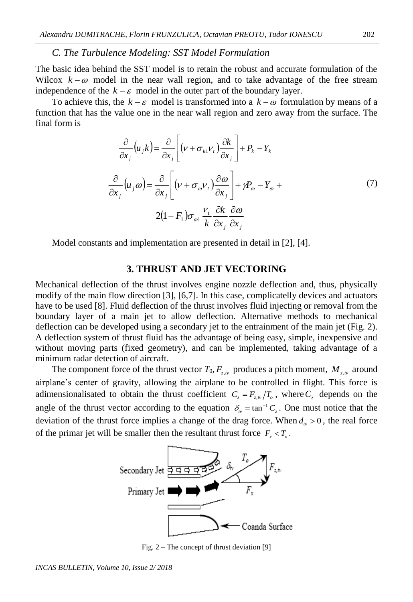### *C. The Turbulence Modeling: SST Model Formulation*

The basic idea behind the SST model is to retain the robust and accurate formulation of the Wilcox  $k - \omega$  model in the near wall region, and to take advantage of the free stream independence of the  $k - \varepsilon$  model in the outer part of the boundary layer.

To achieve this, the  $k - \varepsilon$  model is transformed into a  $k - \omega$  formulation by means of a function that has the value one in the near wall region and zero away from the surface. The final form is

$$
\frac{\partial}{\partial x_j} (u_j k) = \frac{\partial}{\partial x_j} \left[ (\nu + \sigma_{k1} \nu_t) \frac{\partial k}{\partial x_j} \right] + P_k - Y_k
$$
  

$$
\frac{\partial}{\partial x_j} (u_j \omega) = \frac{\partial}{\partial x_j} \left[ (\nu + \sigma_{\omega} \nu_t) \frac{\partial \omega}{\partial x_j} \right] + \gamma P_{\omega} - Y_{\omega} +
$$
  

$$
2(1 - F_1) \sigma_{\omega 1} \frac{\nu_t}{k} \frac{\partial k}{\partial x_j} \frac{\partial \omega}{\partial x_j}
$$
 (7)

Model constants and implementation are presented in detail in [2], [4].

#### **3. THRUST AND JET VECTORING**

Mechanical deflection of the thrust involves engine nozzle deflection and, thus, physically modify of the main flow direction [3], [6,7]. In this case, complicatelly devices and actuators have to be used [8]. Fluid deflection of the thrust involves fluid injecting or removal from the boundary layer of a main jet to allow deflection. Alternative methods to mechanical deflection can be developed using a secondary jet to the entrainment of the main jet (Fig. 2). A deflection system of thrust fluid has the advantage of being easy, simple, inexpensive and without moving parts (fixed geometry), and can be implemented, taking advantage of a minimum radar detection of aircraft.

The component force of the thrust vector  $T_0$ ,  $F_{z,w}$  produces a pitch moment,  $M_{z,w}$  around airplane's center of gravity, allowing the airplane to be controlled in flight. This force is adimensionalisated to obtain the thrust coefficient  $C_z = F_{z,w}/T_o$ , where  $C_z$  depends on the angle of the thrust vector according to the equation  $\delta_{\nu} = \tan^{-1} C_{z}$ . One must notice that the deviation of the thrust force implies a change of the drag force. When  $d<sub>w</sub> > 0$ , the real force of the primar jet will be smaller then the resultant thrust force  $F_x < T_o$ .



Fig. 2 – The concept of thrust deviation [9]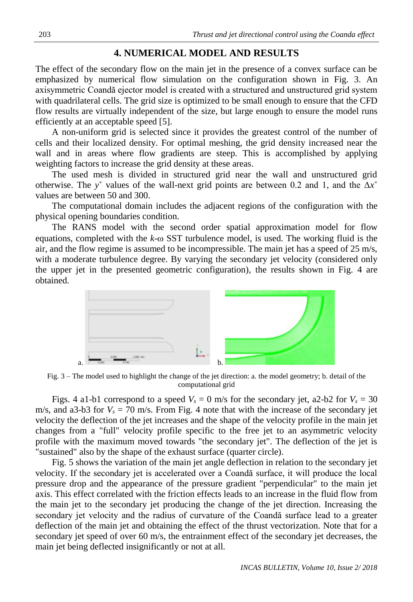# **4. NUMERICAL MODEL AND RESULTS**

The effect of the secondary flow on the main jet in the presence of a convex surface can be emphasized by numerical flow simulation on the configuration shown in Fig. 3. An axisymmetric Coandă ejector model is created with a structured and unstructured grid system with quadrilateral cells. The grid size is optimized to be small enough to ensure that the CFD flow results are virtually independent of the size, but large enough to ensure the model runs efficiently at an acceptable speed [5].

A non-uniform grid is selected since it provides the greatest control of the number of cells and their localized density. For optimal meshing, the grid density increased near the wall and in areas where flow gradients are steep. This is accomplished by applying weighting factors to increase the grid density at these areas.

The used mesh is divided in structured grid near the wall and unstructured grid otherwise. The y<sup>+</sup> values of the wall-next grid points are between 0.2 and 1, and the  $\Delta x^+$ values are between 50 and 300.

The computational domain includes the adjacent regions of the configuration with the physical opening boundaries condition.

The RANS model with the second order spatial approximation model for flow equations, completed with the  $k$ - $\omega$  SST turbulence model, is used. The working fluid is the air, and the flow regime is assumed to be incompressible. The main jet has a speed of  $25 \text{ m/s}$ , with a moderate turbulence degree. By varying the secondary jet velocity (considered only the upper jet in the presented geometric configuration), the results shown in Fig. 4 are obtained.



Fig. 3 – The model used to highlight the change of the jet direction: a. the model geometry; b. detail of the computational grid

Figs. 4 a1-b1 correspond to a speed  $V_s = 0$  m/s for the secondary jet, a2-b2 for  $V_s = 30$ m/s, and a3-b3 for  $V_s = 70$  m/s. From Fig. 4 note that with the increase of the secondary jet velocity the deflection of the jet increases and the shape of the velocity profile in the main jet changes from a "full" velocity profile specific to the free jet to an asymmetric velocity profile with the maximum moved towards "the secondary jet". The deflection of the jet is "sustained" also by the shape of the exhaust surface (quarter circle).

Fig. 5 shows the variation of the main jet angle deflection in relation to the secondary jet velocity. If the secondary jet is accelerated over a Coandă surface, it will produce the local pressure drop and the appearance of the pressure gradient "perpendicular" to the main jet axis. This effect correlated with the friction effects leads to an increase in the fluid flow from the main jet to the secondary jet producing the change of the jet direction. Increasing the secondary jet velocity and the radius of curvature of the Coandă surface lead to a greater deflection of the main jet and obtaining the effect of the thrust vectorization. Note that for a secondary jet speed of over 60 m/s, the entrainment effect of the secondary jet decreases, the main jet being deflected insignificantly or not at all.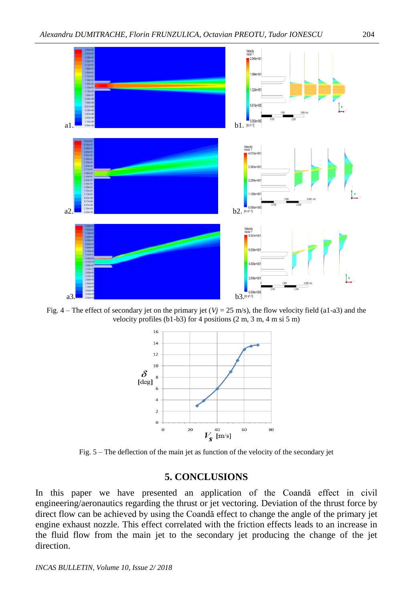

Fig.  $4 -$  The effect of secondary jet on the primary jet ( $Vj = 25$  m/s), the flow velocity field (a1-a3) and the velocity profiles (b1-b3) for 4 positions (2 m, 3 m, 4 m si 5 m)



Fig. 5 – The deflection of the main jet as function of the velocity of the secondary jet

## **5. CONCLUSIONS**

In this paper we have presented an application of the Coandă effect in civil engineering/aeronautics regarding the thrust or jet vectoring. Deviation of the thrust force by direct flow can be achieved by using the Coandă effect to change the angle of the primary jet engine exhaust nozzle. This effect correlated with the friction effects leads to an increase in the fluid flow from the main jet to the secondary jet producing the change of the jet direction.